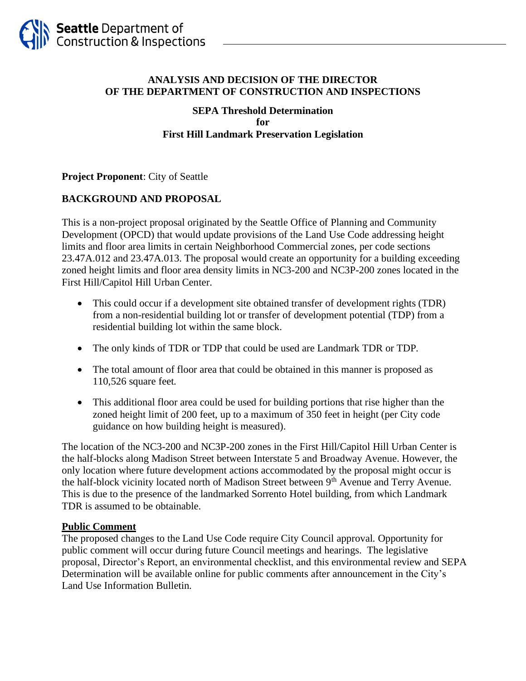

## **ANALYSIS AND DECISION OF THE DIRECTOR OF THE DEPARTMENT OF CONSTRUCTION AND INSPECTIONS**

### **SEPA Threshold Determination for First Hill Landmark Preservation Legislation**

## **Project Proponent**: City of Seattle

# **BACKGROUND AND PROPOSAL**

This is a non-project proposal originated by the Seattle Office of Planning and Community Development (OPCD) that would update provisions of the Land Use Code addressing height limits and floor area limits in certain Neighborhood Commercial zones, per code sections 23.47A.012 and 23.47A.013. The proposal would create an opportunity for a building exceeding zoned height limits and floor area density limits in NC3-200 and NC3P-200 zones located in the First Hill/Capitol Hill Urban Center.

- This could occur if a development site obtained transfer of development rights (TDR) from a non-residential building lot or transfer of development potential (TDP) from a residential building lot within the same block.
- The only kinds of TDR or TDP that could be used are Landmark TDR or TDP.
- The total amount of floor area that could be obtained in this manner is proposed as 110,526 square feet.
- This additional floor area could be used for building portions that rise higher than the zoned height limit of 200 feet, up to a maximum of 350 feet in height (per City code guidance on how building height is measured).

The location of the NC3-200 and NC3P-200 zones in the First Hill/Capitol Hill Urban Center is the half-blocks along Madison Street between Interstate 5 and Broadway Avenue. However, the only location where future development actions accommodated by the proposal might occur is the half-block vicinity located north of Madison Street between 9<sup>th</sup> Avenue and Terry Avenue. This is due to the presence of the landmarked Sorrento Hotel building, from which Landmark TDR is assumed to be obtainable.

### **Public Comment**

The proposed changes to the Land Use Code require City Council approval. Opportunity for public comment will occur during future Council meetings and hearings. The legislative proposal, Director's Report, an environmental checklist, and this environmental review and SEPA Determination will be available online for public comments after announcement in the City's Land Use Information Bulletin.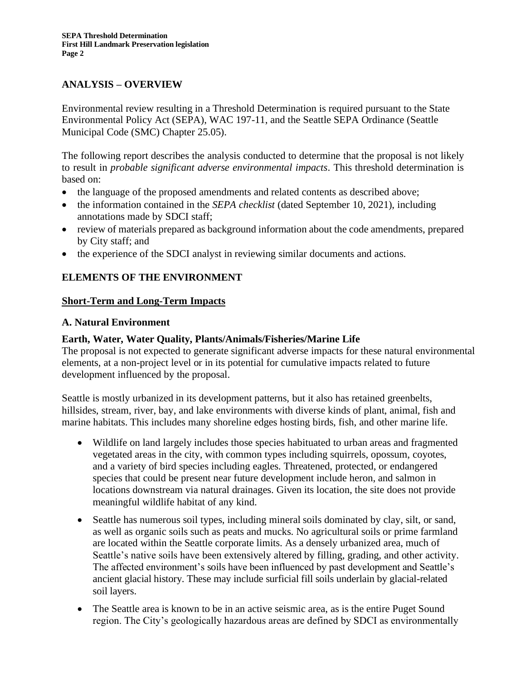# **ANALYSIS – OVERVIEW**

Environmental review resulting in a Threshold Determination is required pursuant to the State Environmental Policy Act (SEPA), WAC 197-11, and the Seattle SEPA Ordinance (Seattle Municipal Code (SMC) Chapter 25.05).

The following report describes the analysis conducted to determine that the proposal is not likely to result in *probable significant adverse environmental impacts*. This threshold determination is based on:

- the language of the proposed amendments and related contents as described above;
- the information contained in the *SEPA checklist* (dated September 10, 2021), including annotations made by SDCI staff;
- review of materials prepared as background information about the code amendments, prepared by City staff; and
- the experience of the SDCI analyst in reviewing similar documents and actions.

# **ELEMENTS OF THE ENVIRONMENT**

## **Short-Term and Long-Term Impacts**

### **A. Natural Environment**

## **Earth, Water, Water Quality, Plants/Animals/Fisheries/Marine Life**

The proposal is not expected to generate significant adverse impacts for these natural environmental elements, at a non-project level or in its potential for cumulative impacts related to future development influenced by the proposal.

Seattle is mostly urbanized in its development patterns, but it also has retained greenbelts, hillsides, stream, river, bay, and lake environments with diverse kinds of plant, animal, fish and marine habitats. This includes many shoreline edges hosting birds, fish, and other marine life.

- Wildlife on land largely includes those species habituated to urban areas and fragmented vegetated areas in the city, with common types including squirrels, opossum, coyotes, and a variety of bird species including eagles. Threatened, protected, or endangered species that could be present near future development include heron, and salmon in locations downstream via natural drainages. Given its location, the site does not provide meaningful wildlife habitat of any kind.
- Seattle has numerous soil types, including mineral soils dominated by clay, silt, or sand, as well as organic soils such as peats and mucks. No agricultural soils or prime farmland are located within the Seattle corporate limits. As a densely urbanized area, much of Seattle's native soils have been extensively altered by filling, grading, and other activity. The affected environment's soils have been influenced by past development and Seattle's ancient glacial history. These may include surficial fill soils underlain by glacial-related soil layers.
- The Seattle area is known to be in an active seismic area, as is the entire Puget Sound region. The City's geologically hazardous areas are defined by SDCI as environmentally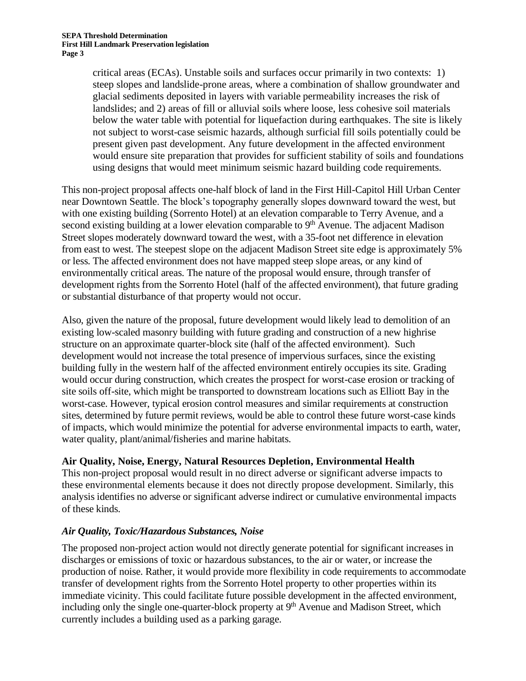critical areas (ECAs). Unstable soils and surfaces occur primarily in two contexts: 1) steep slopes and landslide-prone areas, where a combination of shallow groundwater and glacial sediments deposited in layers with variable permeability increases the risk of landslides; and 2) areas of fill or alluvial soils where loose, less cohesive soil materials below the water table with potential for liquefaction during earthquakes. The site is likely not subject to worst-case seismic hazards, although surficial fill soils potentially could be present given past development. Any future development in the affected environment would ensure site preparation that provides for sufficient stability of soils and foundations using designs that would meet minimum seismic hazard building code requirements.

This non-project proposal affects one-half block of land in the First Hill-Capitol Hill Urban Center near Downtown Seattle. The block's topography generally slopes downward toward the west, but with one existing building (Sorrento Hotel) at an elevation comparable to Terry Avenue, and a second existing building at a lower elevation comparable to  $9<sup>th</sup>$  Avenue. The adjacent Madison Street slopes moderately downward toward the west, with a 35-foot net difference in elevation from east to west. The steepest slope on the adjacent Madison Street site edge is approximately 5% or less. The affected environment does not have mapped steep slope areas, or any kind of environmentally critical areas. The nature of the proposal would ensure, through transfer of development rights from the Sorrento Hotel (half of the affected environment), that future grading or substantial disturbance of that property would not occur.

Also, given the nature of the proposal, future development would likely lead to demolition of an existing low-scaled masonry building with future grading and construction of a new highrise structure on an approximate quarter-block site (half of the affected environment). Such development would not increase the total presence of impervious surfaces, since the existing building fully in the western half of the affected environment entirely occupies its site. Grading would occur during construction, which creates the prospect for worst-case erosion or tracking of site soils off-site, which might be transported to downstream locations such as Elliott Bay in the worst-case. However, typical erosion control measures and similar requirements at construction sites, determined by future permit reviews, would be able to control these future worst-case kinds of impacts, which would minimize the potential for adverse environmental impacts to earth, water, water quality, plant/animal/fisheries and marine habitats.

# **Air Quality, Noise, Energy, Natural Resources Depletion, Environmental Health**

This non-project proposal would result in no direct adverse or significant adverse impacts to these environmental elements because it does not directly propose development. Similarly, this analysis identifies no adverse or significant adverse indirect or cumulative environmental impacts of these kinds.

# *Air Quality, Toxic/Hazardous Substances, Noise*

The proposed non-project action would not directly generate potential for significant increases in discharges or emissions of toxic or hazardous substances, to the air or water, or increase the production of noise. Rather, it would provide more flexibility in code requirements to accommodate transfer of development rights from the Sorrento Hotel property to other properties within its immediate vicinity. This could facilitate future possible development in the affected environment, including only the single one-quarter-block property at  $9<sup>th</sup>$  Avenue and Madison Street, which currently includes a building used as a parking garage.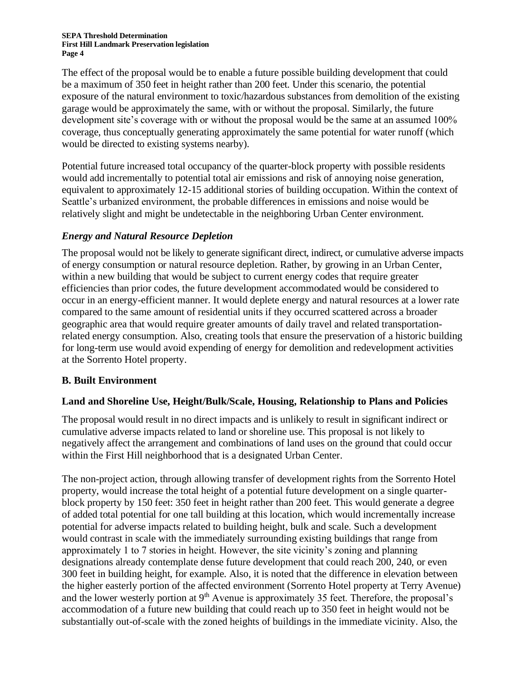#### **SEPA Threshold Determination First Hill Landmark Preservation legislation Page 4**

The effect of the proposal would be to enable a future possible building development that could be a maximum of 350 feet in height rather than 200 feet. Under this scenario, the potential exposure of the natural environment to toxic/hazardous substances from demolition of the existing garage would be approximately the same, with or without the proposal. Similarly, the future development site's coverage with or without the proposal would be the same at an assumed 100% coverage, thus conceptually generating approximately the same potential for water runoff (which would be directed to existing systems nearby).

Potential future increased total occupancy of the quarter-block property with possible residents would add incrementally to potential total air emissions and risk of annoying noise generation, equivalent to approximately 12-15 additional stories of building occupation. Within the context of Seattle's urbanized environment, the probable differences in emissions and noise would be relatively slight and might be undetectable in the neighboring Urban Center environment.

# *Energy and Natural Resource Depletion*

The proposal would not be likely to generate significant direct, indirect, or cumulative adverse impacts of energy consumption or natural resource depletion. Rather, by growing in an Urban Center, within a new building that would be subject to current energy codes that require greater efficiencies than prior codes, the future development accommodated would be considered to occur in an energy-efficient manner. It would deplete energy and natural resources at a lower rate compared to the same amount of residential units if they occurred scattered across a broader geographic area that would require greater amounts of daily travel and related transportationrelated energy consumption. Also, creating tools that ensure the preservation of a historic building for long-term use would avoid expending of energy for demolition and redevelopment activities at the Sorrento Hotel property.

# **B. Built Environment**

# **Land and Shoreline Use, Height/Bulk/Scale, Housing, Relationship to Plans and Policies**

The proposal would result in no direct impacts and is unlikely to result in significant indirect or cumulative adverse impacts related to land or shoreline use. This proposal is not likely to negatively affect the arrangement and combinations of land uses on the ground that could occur within the First Hill neighborhood that is a designated Urban Center.

The non-project action, through allowing transfer of development rights from the Sorrento Hotel property, would increase the total height of a potential future development on a single quarterblock property by 150 feet: 350 feet in height rather than 200 feet. This would generate a degree of added total potential for one tall building at this location, which would incrementally increase potential for adverse impacts related to building height, bulk and scale. Such a development would contrast in scale with the immediately surrounding existing buildings that range from approximately 1 to 7 stories in height. However, the site vicinity's zoning and planning designations already contemplate dense future development that could reach 200, 240, or even 300 feet in building height, for example. Also, it is noted that the difference in elevation between the higher easterly portion of the affected environment (Sorrento Hotel property at Terry Avenue) and the lower westerly portion at  $9<sup>th</sup>$  Avenue is approximately 35 feet. Therefore, the proposal's accommodation of a future new building that could reach up to 350 feet in height would not be substantially out-of-scale with the zoned heights of buildings in the immediate vicinity. Also, the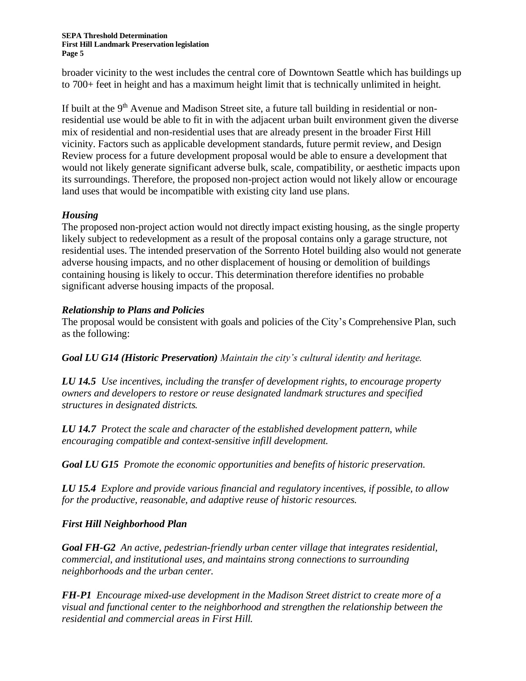**SEPA Threshold Determination First Hill Landmark Preservation legislation Page 5**

broader vicinity to the west includes the central core of Downtown Seattle which has buildings up to 700+ feet in height and has a maximum height limit that is technically unlimited in height.

If built at the  $9<sup>th</sup>$  Avenue and Madison Street site, a future tall building in residential or nonresidential use would be able to fit in with the adjacent urban built environment given the diverse mix of residential and non-residential uses that are already present in the broader First Hill vicinity. Factors such as applicable development standards, future permit review, and Design Review process for a future development proposal would be able to ensure a development that would not likely generate significant adverse bulk, scale, compatibility, or aesthetic impacts upon its surroundings. Therefore, the proposed non-project action would not likely allow or encourage land uses that would be incompatible with existing city land use plans.

## *Housing*

The proposed non-project action would not directly impact existing housing, as the single property likely subject to redevelopment as a result of the proposal contains only a garage structure, not residential uses. The intended preservation of the Sorrento Hotel building also would not generate adverse housing impacts, and no other displacement of housing or demolition of buildings containing housing is likely to occur. This determination therefore identifies no probable significant adverse housing impacts of the proposal.

## *Relationship to Plans and Policies*

The proposal would be consistent with goals and policies of the City's Comprehensive Plan, such as the following:

*Goal LU G14 (Historic Preservation) Maintain the city's cultural identity and heritage.*

*LU 14.5 Use incentives, including the transfer of development rights, to encourage property owners and developers to restore or reuse designated landmark structures and specified structures in designated districts.*

*LU 14.7 Protect the scale and character of the established development pattern, while encouraging compatible and context-sensitive infill development.*

*Goal LU G15 Promote the economic opportunities and benefits of historic preservation.*

*LU 15.4 Explore and provide various financial and regulatory incentives, if possible, to allow for the productive, reasonable, and adaptive reuse of historic resources.*

### *First Hill Neighborhood Plan*

*Goal FH-G2 An active, pedestrian-friendly urban center village that integrates residential, commercial, and institutional uses, and maintains strong connections to surrounding neighborhoods and the urban center.*

*FH-P1 Encourage mixed-use development in the Madison Street district to create more of a visual and functional center to the neighborhood and strengthen the relationship between the residential and commercial areas in First Hill.*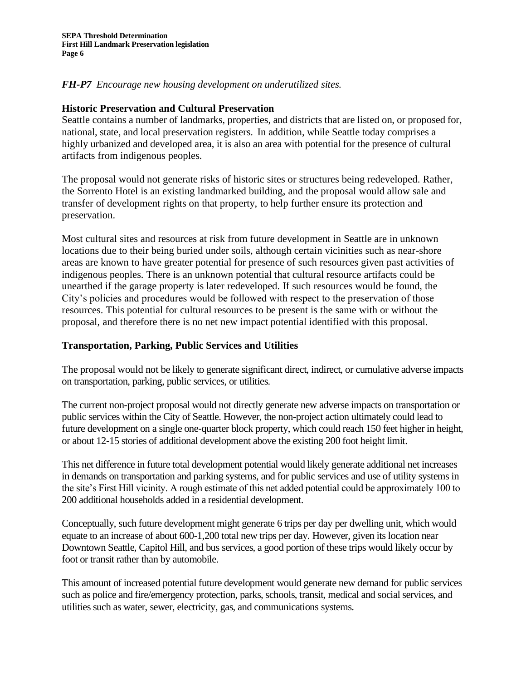## *FH-P7 Encourage new housing development on underutilized sites.*

### **Historic Preservation and Cultural Preservation**

Seattle contains a number of landmarks, properties, and districts that are listed on, or proposed for, national, state, and local preservation registers. In addition, while Seattle today comprises a highly urbanized and developed area, it is also an area with potential for the presence of cultural artifacts from indigenous peoples.

The proposal would not generate risks of historic sites or structures being redeveloped. Rather, the Sorrento Hotel is an existing landmarked building, and the proposal would allow sale and transfer of development rights on that property, to help further ensure its protection and preservation.

Most cultural sites and resources at risk from future development in Seattle are in unknown locations due to their being buried under soils, although certain vicinities such as near-shore areas are known to have greater potential for presence of such resources given past activities of indigenous peoples. There is an unknown potential that cultural resource artifacts could be unearthed if the garage property is later redeveloped. If such resources would be found, the City's policies and procedures would be followed with respect to the preservation of those resources. This potential for cultural resources to be present is the same with or without the proposal, and therefore there is no net new impact potential identified with this proposal.

## **Transportation, Parking, Public Services and Utilities**

The proposal would not be likely to generate significant direct, indirect, or cumulative adverse impacts on transportation, parking, public services, or utilities.

The current non-project proposal would not directly generate new adverse impacts on transportation or public services within the City of Seattle. However, the non-project action ultimately could lead to future development on a single one-quarter block property, which could reach 150 feet higher in height, or about 12-15 stories of additional development above the existing 200 foot height limit.

This net difference in future total development potential would likely generate additional net increases in demands on transportation and parking systems, and for public services and use of utility systems in the site's First Hill vicinity. A rough estimate of this net added potential could be approximately 100 to 200 additional households added in a residential development.

Conceptually, such future development might generate 6 trips per day per dwelling unit, which would equate to an increase of about 600-1,200 total new trips per day. However, given its location near Downtown Seattle, Capitol Hill, and bus services, a good portion of these trips would likely occur by foot or transit rather than by automobile.

This amount of increased potential future development would generate new demand for public services such as police and fire/emergency protection, parks, schools, transit, medical and social services, and utilities such as water, sewer, electricity, gas, and communications systems.